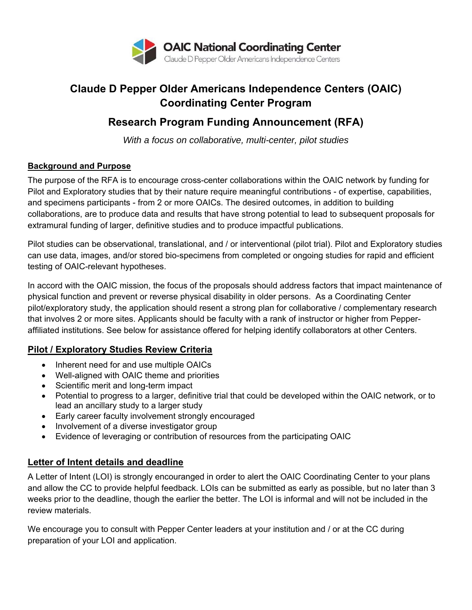

# **Claude D Pepper Older Americans Independence Centers (OAIC) Coordinating Center Program**

## **Research Program Funding Announcement (RFA)**

*With a focus on collaborative, multi-center, pilot studies* 

#### **Background and Purpose**

The purpose of the RFA is to encourage cross-center collaborations within the OAIC network by funding for Pilot and Exploratory studies that by their nature require meaningful contributions - of expertise, capabilities, and specimens participants - from 2 or more OAICs. The desired outcomes, in addition to building collaborations, are to produce data and results that have strong potential to lead to subsequent proposals for extramural funding of larger, definitive studies and to produce impactful publications.

Pilot studies can be observational, translational, and / or interventional (pilot trial). Pilot and Exploratory studies can use data, images, and/or stored bio-specimens from completed or ongoing studies for rapid and efficient testing of OAIC-relevant hypotheses.

In accord with the OAIC mission, the focus of the proposals should address factors that impact maintenance of physical function and prevent or reverse physical disability in older persons. As a Coordinating Center pilot/exploratory study, the application should resent a strong plan for collaborative / complementary research that involves 2 or more sites. Applicants should be faculty with a rank of instructor or higher from Pepperaffiliated institutions. See below for assistance offered for helping identify collaborators at other Centers.

### **Pilot / Exploratory Studies Review Criteria**

- Inherent need for and use multiple OAICs
- Well-aligned with OAIC theme and priorities
- Scientific merit and long-term impact
- Potential to progress to a larger, definitive trial that could be developed within the OAIC network, or to lead an ancillary study to a larger study
- Early career faculty involvement strongly encouraged
- Involvement of a diverse investigator group
- Evidence of leveraging or contribution of resources from the participating OAIC

## **Letter of Intent details and deadline**

A Letter of Intent (LOI) is strongly encouranged in order to alert the OAIC Coordinating Center to your plans and allow the CC to provide helpful feedback. LOIs can be submitted as early as possible, but no later than 3 weeks prior to the deadline, though the earlier the better. The LOI is informal and will not be included in the review materials.

We encourage you to consult with Pepper Center leaders at your institution and / or at the CC during preparation of your LOI and application.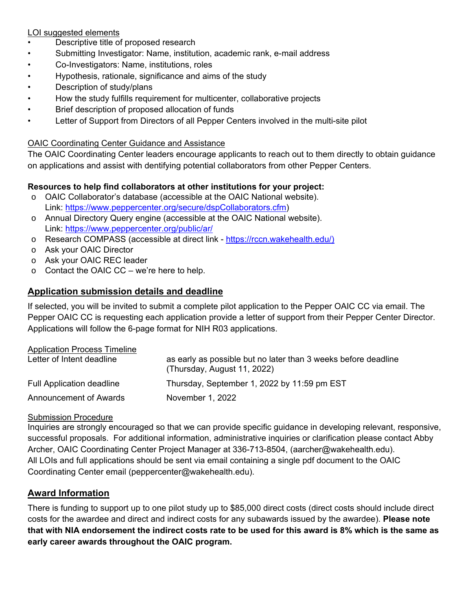#### LOI suggested elements

- Descriptive title of proposed research
- Submitting Investigator: Name, institution, academic rank, e-mail address
- Co-Investigators: Name, institutions, roles
- Hypothesis, rationale, significance and aims of the study
- Description of study/plans
- How the study fulfills requirement for multicenter, collaborative projects
- Brief description of proposed allocation of funds
- Letter of Support from Directors of all Pepper Centers involved in the multi-site pilot

#### OAIC Coordinating Center Guidance and Assistance

The OAIC Coordinating Center leaders encourage applicants to reach out to them directly to obtain guidance on applications and assist with dentifying potential collaborators from other Pepper Centers.

#### **Resources to help find collaborators at other institutions for your project:**

- o OAIC Collaborator's database (accessible at the OAIC National website). Link: https://www.peppercenter.org/secure/dspCollaborators.cfm)
- o Annual Directory Query engine (accessible at the OAIC National website). Link: https://www.peppercenter.org/public/ar/
- o Research COMPASS (accessible at direct link https://rccn.wakehealth.edu/)
- o Ask your OAIC Director
- o Ask your OAIC REC leader
- $\circ$  Contact the OAIC CC we're here to help.

#### **Application submission details and deadline**

If selected, you will be invited to submit a complete pilot application to the Pepper OAIC CC via email. The Pepper OAIC CC is requesting each application provide a letter of support from their Pepper Center Director. Applications will follow the 6-page format for NIH R03 applications.

| <b>Application Process Timeline</b> |                                                                                               |
|-------------------------------------|-----------------------------------------------------------------------------------------------|
| Letter of Intent deadline           | as early as possible but no later than 3 weeks before deadline<br>(Thursday, August 11, 2022) |
| <b>Full Application deadline</b>    | Thursday, September 1, 2022 by 11:59 pm EST                                                   |
| <b>Announcement of Awards</b>       | November 1, 2022                                                                              |

#### Submission Procedure

Inquiries are strongly encouraged so that we can provide specific guidance in developing relevant, responsive, successful proposals. For additional information, administrative inquiries or clarification please contact Abby Archer, OAIC Coordinating Center Project Manager at 336-713-8504, (aarcher@wakehealth.edu). All LOIs and full applications should be sent via email containing a single pdf document to the OAIC Coordinating Center email (peppercenter@wakehealth.edu).

#### **Award Information**

There is funding to support up to one pilot study up to \$85,000 direct costs (direct costs should include direct costs for the awardee and direct and indirect costs for any subawards issued by the awardee). **Please note that with NIA endorsement the indirect costs rate to be used for this award is 8% which is the same as early career awards throughout the OAIC program.**